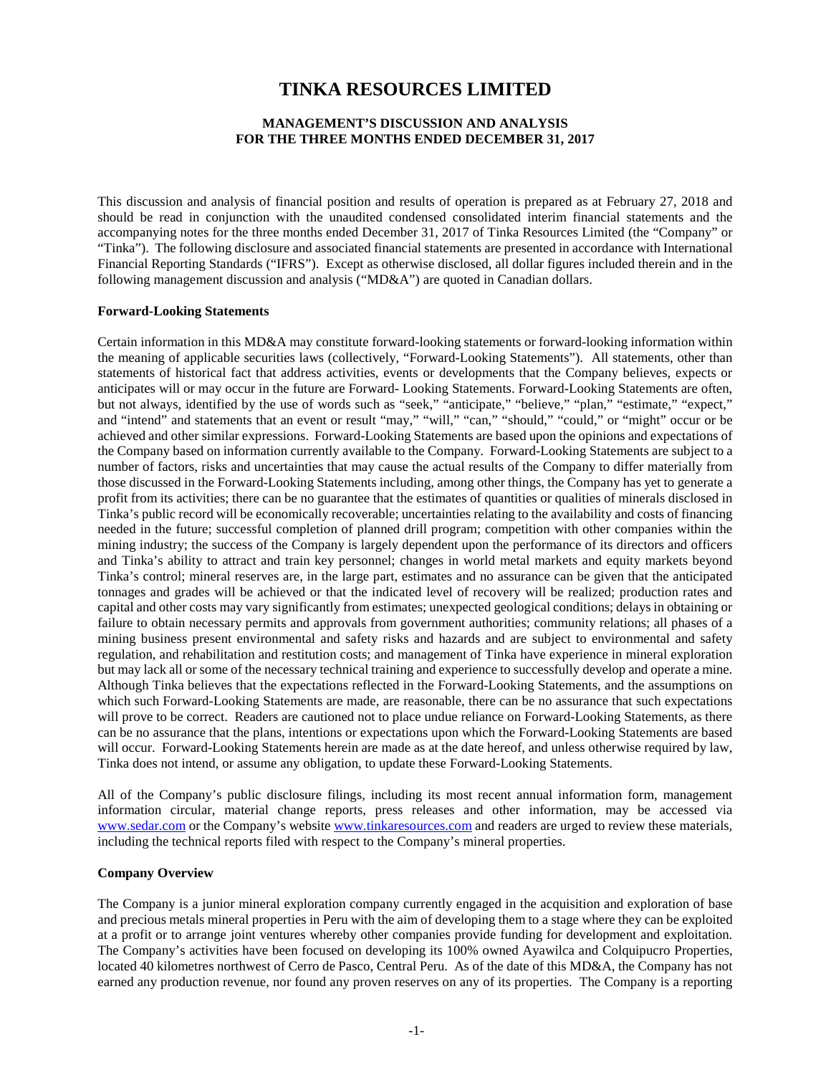# **TINKA RESOURCES LIMITED**

## **MANAGEMENT'S DISCUSSION AND ANALYSIS FOR THE THREE MONTHS ENDED DECEMBER 31, 2017**

This discussion and analysis of financial position and results of operation is prepared as at February 27, 2018 and should be read in conjunction with the unaudited condensed consolidated interim financial statements and the accompanying notes for the three months ended December 31, 2017 of Tinka Resources Limited (the "Company" or "Tinka"). The following disclosure and associated financial statements are presented in accordance with International Financial Reporting Standards ("IFRS"). Except as otherwise disclosed, all dollar figures included therein and in the following management discussion and analysis ("MD&A") are quoted in Canadian dollars.

#### **Forward-Looking Statements**

Certain information in this MD&A may constitute forward-looking statements or forward-looking information within the meaning of applicable securities laws (collectively, "Forward-Looking Statements"). All statements, other than statements of historical fact that address activities, events or developments that the Company believes, expects or anticipates will or may occur in the future are Forward- Looking Statements. Forward-Looking Statements are often, but not always, identified by the use of words such as "seek," "anticipate," "believe," "plan," "estimate," "expect," and "intend" and statements that an event or result "may," "will," "can," "should," "could," or "might" occur or be achieved and other similar expressions. Forward-Looking Statements are based upon the opinions and expectations of the Company based on information currently available to the Company. Forward-Looking Statements are subject to a number of factors, risks and uncertainties that may cause the actual results of the Company to differ materially from those discussed in the Forward-Looking Statements including, among other things, the Company has yet to generate a profit from its activities; there can be no guarantee that the estimates of quantities or qualities of minerals disclosed in Tinka's public record will be economically recoverable; uncertainties relating to the availability and costs of financing needed in the future; successful completion of planned drill program; competition with other companies within the mining industry; the success of the Company is largely dependent upon the performance of its directors and officers and Tinka's ability to attract and train key personnel; changes in world metal markets and equity markets beyond Tinka's control; mineral reserves are, in the large part, estimates and no assurance can be given that the anticipated tonnages and grades will be achieved or that the indicated level of recovery will be realized; production rates and capital and other costs may vary significantly from estimates; unexpected geological conditions; delays in obtaining or failure to obtain necessary permits and approvals from government authorities; community relations; all phases of a mining business present environmental and safety risks and hazards and are subject to environmental and safety regulation, and rehabilitation and restitution costs; and management of Tinka have experience in mineral exploration but may lack all or some of the necessary technical training and experience to successfully develop and operate a mine. Although Tinka believes that the expectations reflected in the Forward-Looking Statements, and the assumptions on which such Forward-Looking Statements are made, are reasonable, there can be no assurance that such expectations will prove to be correct. Readers are cautioned not to place undue reliance on Forward-Looking Statements, as there can be no assurance that the plans, intentions or expectations upon which the Forward-Looking Statements are based will occur. Forward-Looking Statements herein are made as at the date hereof, and unless otherwise required by law, Tinka does not intend, or assume any obligation, to update these Forward-Looking Statements.

All of the Company's public disclosure filings, including its most recent annual information form, management information circular, material change reports, press releases and other information, may be accessed via [www.sedar.com](http://www.sedar.com/) or the Company's website [www.tinkaresources.com](http://www.tinkaresources.com/) and readers are urged to review these materials, including the technical reports filed with respect to the Company's mineral properties.

## **Company Overview**

The Company is a junior mineral exploration company currently engaged in the acquisition and exploration of base and precious metals mineral properties in Peru with the aim of developing them to a stage where they can be exploited at a profit or to arrange joint ventures whereby other companies provide funding for development and exploitation. The Company's activities have been focused on developing its 100% owned Ayawilca and Colquipucro Properties, located 40 kilometres northwest of Cerro de Pasco, Central Peru. As of the date of this MD&A, the Company has not earned any production revenue, nor found any proven reserves on any of its properties. The Company is a reporting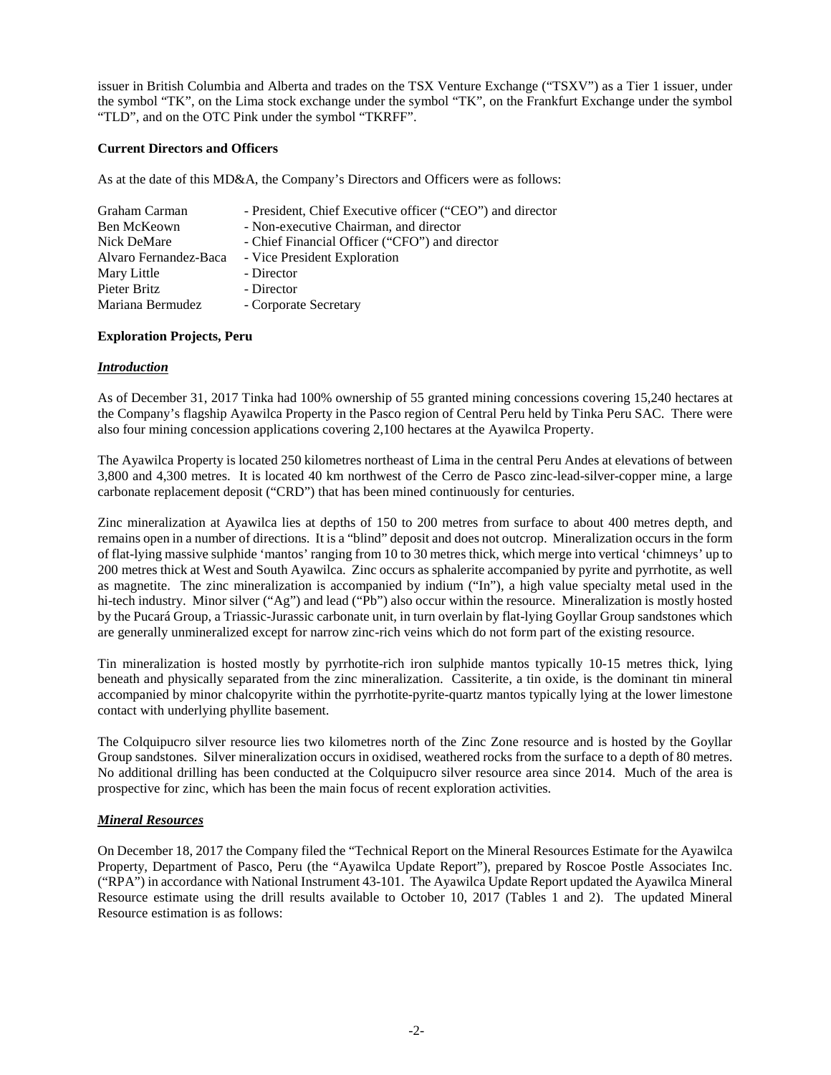issuer in British Columbia and Alberta and trades on the TSX Venture Exchange ("TSXV") as a Tier 1 issuer, under the symbol "TK", on the Lima stock exchange under the symbol "TK", on the Frankfurt Exchange under the symbol "TLD", and on the OTC Pink under the symbol "TKRFF".

## **Current Directors and Officers**

As at the date of this MD&A, the Company's Directors and Officers were as follows:

| Graham Carman         | - President, Chief Executive officer ("CEO") and director |
|-----------------------|-----------------------------------------------------------|
| Ben McKeown           | - Non-executive Chairman, and director                    |
| Nick DeMare           | - Chief Financial Officer ("CFO") and director            |
| Alvaro Fernandez-Baca | - Vice President Exploration                              |
| Mary Little           | - Director                                                |
| Pieter Britz          | - Director                                                |
| Mariana Bermudez      | - Corporate Secretary                                     |

## **Exploration Projects, Peru**

## *Introduction*

As of December 31, 2017 Tinka had 100% ownership of 55 granted mining concessions covering 15,240 hectares at the Company's flagship Ayawilca Property in the Pasco region of Central Peru held by Tinka Peru SAC. There were also four mining concession applications covering 2,100 hectares at the Ayawilca Property.

The Ayawilca Property is located 250 kilometres northeast of Lima in the central Peru Andes at elevations of between 3,800 and 4,300 metres. It is located 40 km northwest of the Cerro de Pasco zinc-lead-silver-copper mine, a large carbonate replacement deposit ("CRD") that has been mined continuously for centuries.

Zinc mineralization at Ayawilca lies at depths of 150 to 200 metres from surface to about 400 metres depth, and remains open in a number of directions. It is a "blind" deposit and does not outcrop. Mineralization occurs in the form of flat-lying massive sulphide 'mantos' ranging from 10 to 30 metres thick, which merge into vertical 'chimneys' up to 200 metres thick at West and South Ayawilca. Zinc occurs as sphalerite accompanied by pyrite and pyrrhotite, as well as magnetite. The zinc mineralization is accompanied by indium ("In"), a high value specialty metal used in the hi-tech industry. Minor silver ("Ag") and lead ("Pb") also occur within the resource. Mineralization is mostly hosted by the Pucará Group, a Triassic-Jurassic carbonate unit, in turn overlain by flat-lying Goyllar Group sandstones which are generally unmineralized except for narrow zinc-rich veins which do not form part of the existing resource.

Tin mineralization is hosted mostly by pyrrhotite-rich iron sulphide mantos typically 10-15 metres thick, lying beneath and physically separated from the zinc mineralization. Cassiterite, a tin oxide, is the dominant tin mineral accompanied by minor chalcopyrite within the pyrrhotite-pyrite-quartz mantos typically lying at the lower limestone contact with underlying phyllite basement.

The Colquipucro silver resource lies two kilometres north of the Zinc Zone resource and is hosted by the Goyllar Group sandstones. Silver mineralization occurs in oxidised, weathered rocks from the surface to a depth of 80 metres. No additional drilling has been conducted at the Colquipucro silver resource area since 2014. Much of the area is prospective for zinc, which has been the main focus of recent exploration activities.

## *Mineral Resources*

On December 18, 2017 the Company filed the "Technical Report on the Mineral Resources Estimate for the Ayawilca Property, Department of Pasco, Peru (the "Ayawilca Update Report"), prepared by Roscoe Postle Associates Inc. ("RPA") in accordance with National Instrument 43-101. The Ayawilca Update Report updated the Ayawilca Mineral Resource estimate using the drill results available to October 10, 2017 (Tables 1 and 2). The updated Mineral Resource estimation is as follows: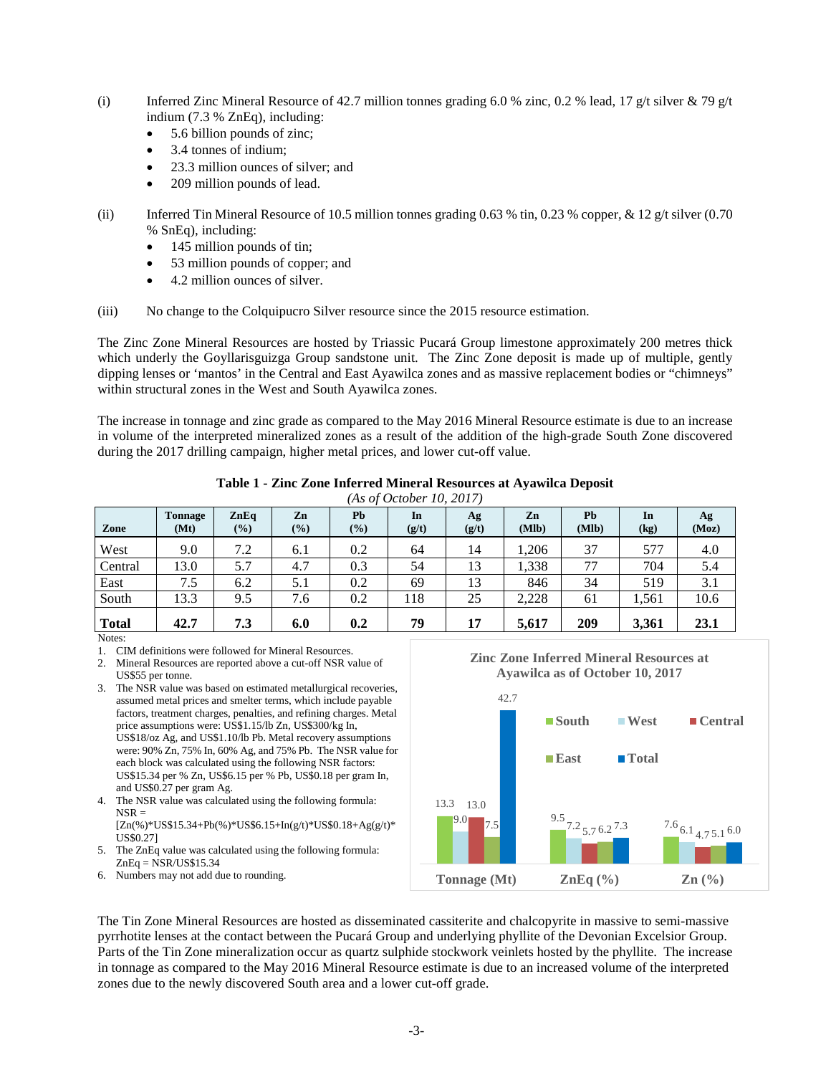- (i) Inferred Zinc Mineral Resource of 42.7 million tonnes grading 6.0 % zinc, 0.2 % lead, 17 g/t silver & 79 g/t indium (7.3 % ZnEq), including:
	- 5.6 billion pounds of zinc;
	- 3.4 tonnes of indium;
	- 23.3 million ounces of silver; and
	- 209 million pounds of lead.
- (ii) Inferred Tin Mineral Resource of 10.5 million tonnes grading 0.63 % tin, 0.23 % copper,  $\&$  12 g/t silver (0.70) % SnEq), including:
	- 145 million pounds of tin;
	- 53 million pounds of copper; and
	- 4.2 million ounces of silver.
- (iii) No change to the Colquipucro Silver resource since the 2015 resource estimation.

The Zinc Zone Mineral Resources are hosted by Triassic Pucará Group limestone approximately 200 metres thick which underly the Goyllarisguizga Group sandstone unit. The Zinc Zone deposit is made up of multiple, gently dipping lenses or 'mantos' in the Central and East Ayawilca zones and as massive replacement bodies or "chimneys" within structural zones in the West and South Ayawilca zones.

The increase in tonnage and zinc grade as compared to the May 2016 Mineral Resource estimate is due to an increase in volume of the interpreted mineralized zones as a result of the addition of the high-grade South Zone discovered during the 2017 drilling campaign, higher metal prices, and lower cut-off value.

| Zone                | <b>Tonnage</b><br>(Mt) | ZnEq<br>$(\%)$ | Zn<br>(%) | Pb<br>$(\%)$ | In<br>(g/t) | Ag<br>(g/t) | Zn<br>(Mlb) | <b>Pb</b><br>(Mlb) | In<br>(kg) | Ag<br>(Moz) |
|---------------------|------------------------|----------------|-----------|--------------|-------------|-------------|-------------|--------------------|------------|-------------|
| West                | 9.0                    | 7.2            | 6.1       | 0.2          | 64          | 14          | .206        | 37                 | 577        | 4.0         |
| Central             | 13.0                   | 5.7            | 4.7       | 0.3          | 54          | 13          | 1,338       | 77                 | 704        | 5.4         |
| East                | 7.5                    | 6.2            | 5.1       | 0.2          | 69          | 13          | 846         | 34                 | 519        | 3.1         |
| South               | 13.3                   | 9.5            | 7.6       | 0.2          | 118         | 25          | 2,228       | 61                 | 1,561      | 10.6        |
| <b>Total</b><br>. . | 42.7                   | 7.3            | 6.0       | 0.2          | 79          | 17          | 5.617       | 209                | 3,361      | 23.1        |

**Table 1 - Zinc Zone Inferred Mineral Resources at Ayawilca Deposit**  *(As of October 10, 2017)*

#### Notes:

- 1. CIM definitions were followed for Mineral Resources.
- 2. Mineral Resources are reported above a cut-off NSR value of US\$55 per tonne.
- 3. The NSR value was based on estimated metallurgical recoveries, assumed metal prices and smelter terms, which include payable factors, treatment charges, penalties, and refining charges. Metal price assumptions were: US\$1.15/lb Zn, US\$300/kg In, US\$18/oz Ag, and US\$1.10/lb Pb. Metal recovery assumptions were: 90% Zn, 75% In, 60% Ag, and 75% Pb. The NSR value for each block was calculated using the following NSR factors: US\$15.34 per % Zn, US\$6.15 per % Pb, US\$0.18 per gram In, and US\$0.27 per gram Ag.
- 4. The NSR value was calculated using the following formula:  $NSR =$ 
	- $[Zn(\%)^*US$15.34+Pb(\%)^*US$6.15+In(g/t)*US$0.18+Ag(g/t)*$ US\$0.27]
- 5. The ZnEq value was calculated using the following formula:  $ZnEq = NSR/US$15.34$
- 6. Numbers may not add due to rounding.





The Tin Zone Mineral Resources are hosted as disseminated cassiterite and chalcopyrite in massive to semi-massive pyrrhotite lenses at the contact between the Pucará Group and underlying phyllite of the Devonian Excelsior Group. Parts of the Tin Zone mineralization occur as quartz sulphide stockwork veinlets hosted by the phyllite. The increase in tonnage as compared to the May 2016 Mineral Resource estimate is due to an increased volume of the interpreted zones due to the newly discovered South area and a lower cut-off grade.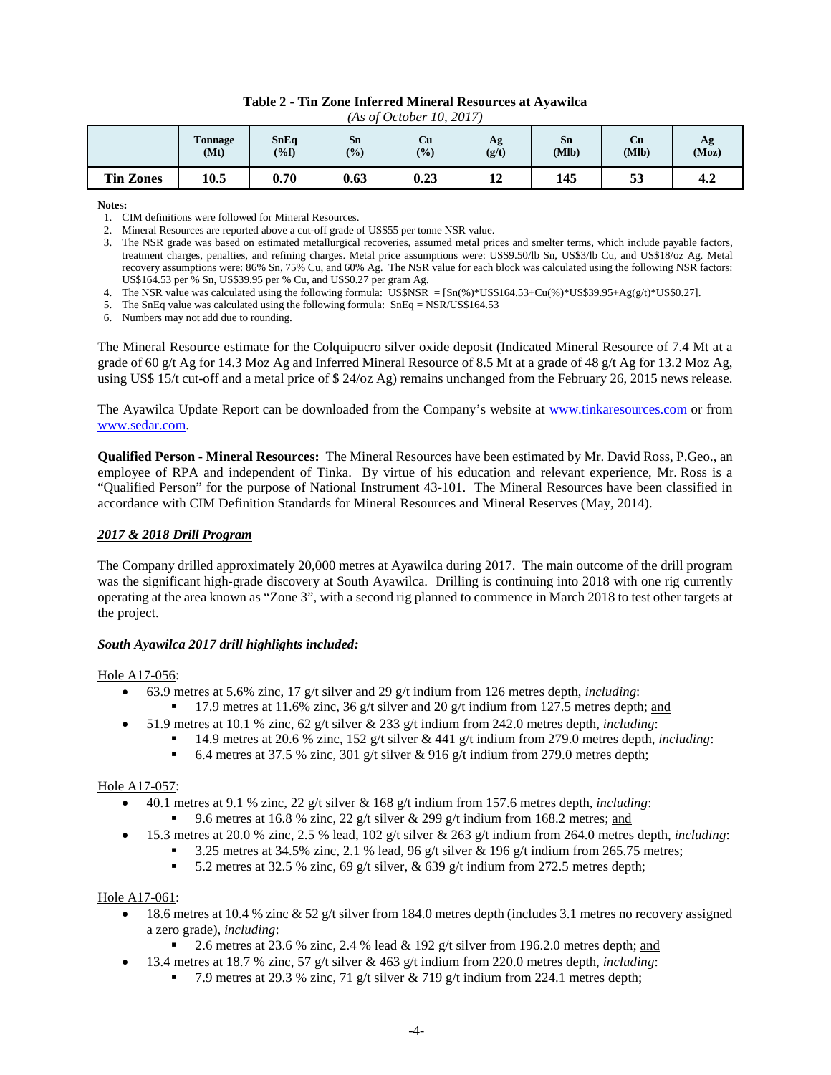|                  | <b>Tonnage</b> | <b>SnEq</b> | Sn    | Cu     | Ag                   | Sn    | Ċu    | Ag    |
|------------------|----------------|-------------|-------|--------|----------------------|-------|-------|-------|
|                  | (Mt)           | $(\%f)$     | (9/0) | $($ %) | (g/t)                | (M1b) | (Mlb) | (Moz) |
| <b>Tin Zones</b> | 10.5           | 0.70        | 0.63  | 0.23   | ہ ہ<br>┸ <del></del> | 145   | 53    | 4.2   |

## **Table 2 - Tin Zone Inferred Mineral Resources at Ayawilca**

*(As of October 10, 2017)*

**Notes:**

1. CIM definitions were followed for Mineral Resources.

- 2. Mineral Resources are reported above a cut-off grade of US\$55 per tonne NSR value.
- 3. The NSR grade was based on estimated metallurgical recoveries, assumed metal prices and smelter terms, which include payable factors, treatment charges, penalties, and refining charges. Metal price assumptions were: US\$9.50/lb Sn, US\$3/lb Cu, and US\$18/oz Ag. Metal recovery assumptions were: 86% Sn, 75% Cu, and 60% Ag. The NSR value for each block was calculated using the following NSR factors: US\$164.53 per % Sn, US\$39.95 per % Cu, and US\$0.27 per gram Ag.
- 4. The NSR value was calculated using the following formula:  $USSNSR = [Sn(\%) * US$164.53 + Cu(\%) * USS39.95 + Ag(g/t)*US$0.27]$ .
- 5. The SnEq value was calculated using the following formula:  $SnEq = NSR/US$164.53$

6. Numbers may not add due to rounding.

The Mineral Resource estimate for the Colquipucro silver oxide deposit (Indicated Mineral Resource of 7.4 Mt at a grade of 60 g/t Ag for 14.3 Moz Ag and Inferred Mineral Resource of 8.5 Mt at a grade of 48 g/t Ag for 13.2 Moz Ag, using US\$ 15/t cut-off and a metal price of \$ 24/oz Ag) remains unchanged from the February 26, 2015 news release.

The Ayawilca Update Report can be downloaded from the Company's website at [www.tinkaresources.com](http://www.tinkaresources.com/) or from [www.sedar.com.](http://www.sedar.com/)

**Qualified Person - Mineral Resources:** The Mineral Resources have been estimated by Mr. David Ross, P.Geo., an employee of RPA and independent of Tinka. By virtue of his education and relevant experience, Mr. Ross is a "Qualified Person" for the purpose of National Instrument 43-101. The Mineral Resources have been classified in accordance with CIM Definition Standards for Mineral Resources and Mineral Reserves (May, 2014).

### *2017 & 2018 Drill Program*

The Company drilled approximately 20,000 metres at Ayawilca during 2017. The main outcome of the drill program was the significant high-grade discovery at South Ayawilca. Drilling is continuing into 2018 with one rig currently operating at the area known as "Zone 3", with a second rig planned to commence in March 2018 to test other targets at the project.

#### *South Ayawilca 2017 drill highlights included:*

#### Hole A17-056:

- 63.9 metres at 5.6% zinc, 17 g/t silver and 29 g/t indium from 126 metres depth, *including*:
	- 17.9 metres at 11.6% zinc, 36 g/t silver and 20 g/t indium from 127.5 metres depth; and
	- 51.9 metres at 10.1 % zinc, 62 g/t silver & 233 g/t indium from 242.0 metres depth, *including*:
		- 14.9 metres at 20.6 % zinc, 152 g/t silver & 441 g/t indium from 279.0 metres depth, *including*:
		- 6.4 metres at 37.5 % zinc, 301 g/t silver & 916 g/t indium from 279.0 metres depth;

#### Hole A17-057:

- 40.1 metres at 9.1 % zinc, 22 g/t silver & 168 g/t indium from 157.6 metres depth, *including*:
	- 9.6 metres at 16.8 % zinc, 22 g/t silver & 299 g/t indium from 168.2 metres; and
- 15.3 metres at 20.0 % zinc, 2.5 % lead, 102 g/t silver & 263 g/t indium from 264.0 metres depth, *including*:
	- 3.25 metres at 34.5% zinc, 2.1 % lead, 96 g/t silver & 196 g/t indium from 265.75 metres;<br>5.2 metres at 32.5 % zinc, 69 g/t silver, & 639 g/t indium from 272.5 metres denth;
	- 5.2 metres at 32.5 % zinc, 69 g/t silver, & 639 g/t indium from 272.5 metres depth;

## Hole A17-061:

- 18.6 metres at 10.4 % zinc & 52 g/t silver from 184.0 metres depth (includes 3.1 metres no recovery assigned a zero grade), *including*:
	- 2.6 metres at 23.6 % zinc, 2.4 % lead & 192 g/t silver from 196.2.0 metres depth; and
- 13.4 metres at 18.7 % zinc, 57 g/t silver & 463 g/t indium from 220.0 metres depth, *including*:
	- 7.9 metres at 29.3 % zinc, 71 g/t silver  $\&$  719 g/t indium from 224.1 metres depth;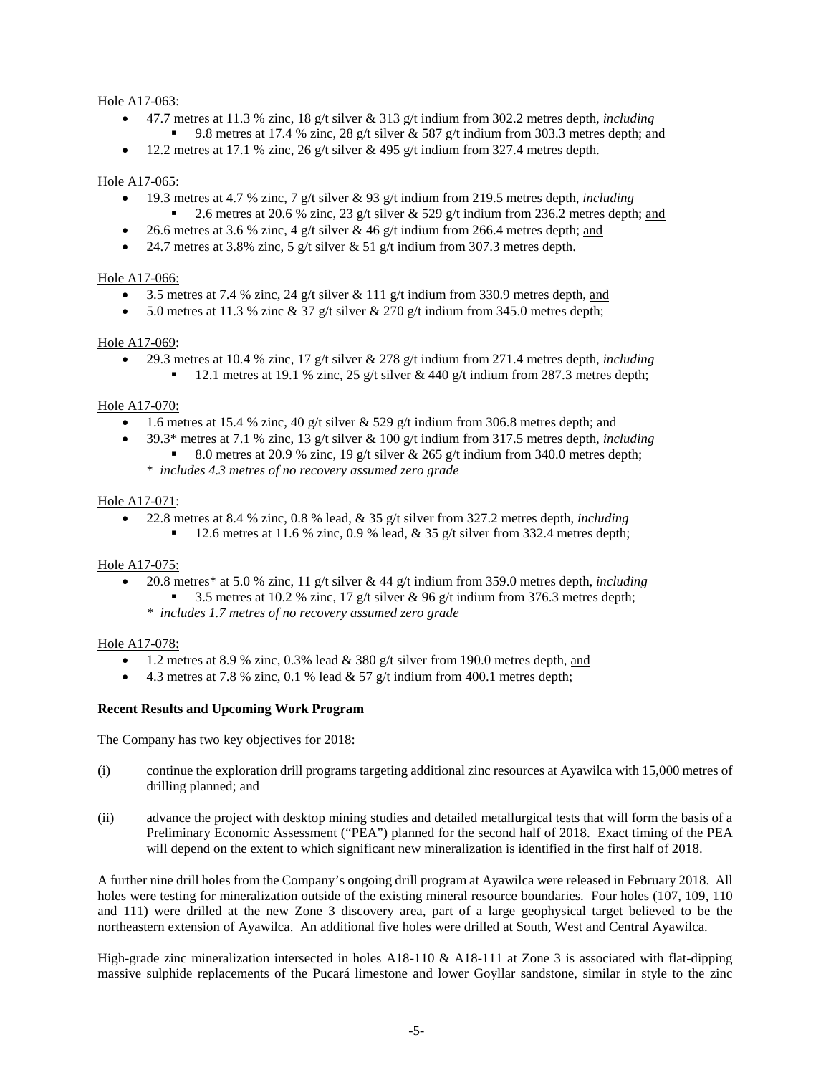## Hole A17-063:

- $\bullet$  47.7 metres at 11.3 % zinc, 18 g/t silver & 313 g/t indium from 302.2 metres depth, *including* 9.8 metres at 17.4 % zinc, 28 g/t silver  $\&$  587 g/t indium from 303.3 metres depth; and
- 12.2 metres at 17.1 % zinc, 26 g/t silver & 495 g/t indium from 327.4 metres depth.

## Hole A17-065:

- 19.3 metres at 4.7 % zinc, 7 g/t silver & 93 g/t indium from 219.5 metres depth, *including* 2.6 metres at 20.6 % zinc, 23 g/t silver & 529 g/t indium from 236.2 metres depth; and
- 26.6 metres at 3.6 % zinc, 4 g/t silver & 46 g/t indium from 266.4 metres depth; and
- 24.7 metres at 3.8% zinc, 5 g/t silver  $& 51$  g/t indium from 307.3 metres depth.

## Hole A17-066:

- 3.5 metres at 7.4 % zinc, 24 g/t silver & 111 g/t indium from 330.9 metres depth, and
- 5.0 metres at 11.3 % zinc & 37 g/t silver & 270 g/t indium from 345.0 metres depth;

## Hole A17-069:

• 29.3 metres at 10.4 % zinc, 17 g/t silver & 278 g/t indium from 271.4 metres depth, *including* 12.1 metres at 19.1 % zinc, 25 g/t silver & 440 g/t indium from 287.3 metres depth;

## Hole A17-070:

- 1.6 metres at 15.4 % zinc, 40 g/t silver & 529 g/t indium from 306.8 metres depth; and
- 39.3\* metres at 7.1 % zinc, 13 g/t silver & 100 g/t indium from 317.5 metres depth, *including* 8.0 metres at 20.9 % zinc, 19 g/t silver & 265 g/t indium from 340.0 metres depth;
	- \* *includes 4.3 metres of no recovery assumed zero grade*

## Hole A17-071:

- 22.8 metres at 8.4 % zinc, 0.8 % lead, & 35 g/t silver from 327.2 metres depth, *including*
	- $12.6$  metres at 11.6 % zinc, 0.9 % lead, & 35 g/t silver from 332.4 metres depth;

#### Hole A17-075:

- 20.8 metres\* at 5.0 % zinc, 11 g/t silver & 44 g/t indium from 359.0 metres depth, *including* 3.5 metres at 10.2 % zinc, 17 g/t silver & 96 g/t indium from 376.3 metres depth;
	- *\* includes 1.7 metres of no recovery assumed zero grade*

#### Hole A17-078:

- 1.2 metres at 8.9 % zinc, 0.3% lead  $& 380$  g/t silver from 190.0 metres depth, and
- 4.3 metres at 7.8 % zinc, 0.1 % lead  $& 57$  g/t indium from 400.1 metres depth;

## **Recent Results and Upcoming Work Program**

The Company has two key objectives for 2018:

- (i) continue the exploration drill programs targeting additional zinc resources at Ayawilca with 15,000 metres of drilling planned; and
- (ii) advance the project with desktop mining studies and detailed metallurgical tests that will form the basis of a Preliminary Economic Assessment ("PEA") planned for the second half of 2018. Exact timing of the PEA will depend on the extent to which significant new mineralization is identified in the first half of 2018.

A further nine drill holes from the Company's ongoing drill program at Ayawilca were released in February 2018. All holes were testing for mineralization outside of the existing mineral resource boundaries. Four holes (107, 109, 110 and 111) were drilled at the new Zone 3 discovery area, part of a large geophysical target believed to be the northeastern extension of Ayawilca. An additional five holes were drilled at South, West and Central Ayawilca.

High-grade zinc mineralization intersected in holes A18-110 & A18-111 at Zone 3 is associated with flat-dipping massive sulphide replacements of the Pucará limestone and lower Goyllar sandstone, similar in style to the zinc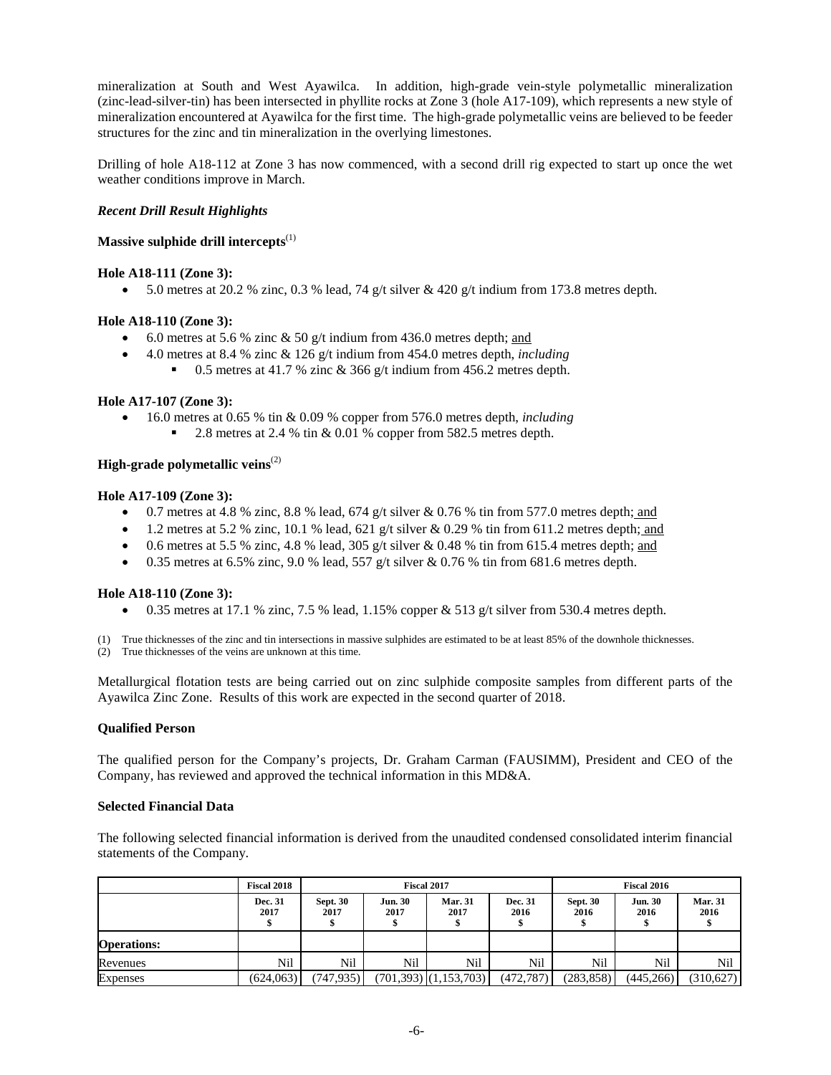mineralization at South and West Ayawilca. In addition, high-grade vein-style polymetallic mineralization (zinc-lead-silver-tin) has been intersected in phyllite rocks at Zone 3 (hole A17-109), which represents a new style of mineralization encountered at Ayawilca for the first time. The high-grade polymetallic veins are believed to be feeder structures for the zinc and tin mineralization in the overlying limestones.

Drilling of hole A18-112 at Zone 3 has now commenced, with a second drill rig expected to start up once the wet weather conditions improve in March.

## *Recent Drill Result Highlights*

## **Massive sulphide drill intercepts**(1)

## **Hole A18-111 (Zone 3):**

• 5.0 metres at 20.2 % zinc, 0.3 % lead, 74 g/t silver & 420 g/t indium from 173.8 metres depth.

## **Hole A18-110 (Zone 3):**

- 6.0 metres at 5.6 % zinc  $\&$  50 g/t indium from 436.0 metres depth; and
- 4.0 metres at 8.4 % zinc & 126 g/t indium from 454.0 metres depth, *including*
	- 0.5 metres at 41.7 % zinc & 366 g/t indium from 456.2 metres depth.

#### **Hole A17-107 (Zone 3):**

- 16.0 metres at 0.65 % tin & 0.09 % copper from 576.0 metres depth, *including*
	- 2.8 metres at 2.4 % tin & 0.01 % copper from 582.5 metres depth.

## **High-grade polymetallic veins**(2)

#### **Hole A17-109 (Zone 3):**

- 0.7 metres at 4.8 % zinc, 8.8 % lead, 674 g/t silver & 0.76 % tin from 577.0 metres depth; and
- 1.2 metres at 5.2 % zinc, 10.1 % lead, 621 g/t silver & 0.29 % tin from 611.2 metres depth; and
- 0.6 metres at 5.5 % zinc, 4.8 % lead, 305 g/t silver & 0.48 % tin from 615.4 metres depth; and
- 0.35 metres at 6.5% zinc, 9.0 % lead, 557 g/t silver & 0.76 % tin from 681.6 metres depth.

#### **Hole A18-110 (Zone 3):**

• 0.35 metres at 17.1 % zinc, 7.5 % lead, 1.15% copper & 513 g/t silver from 530.4 metres depth.

(1) True thicknesses of the zinc and tin intersections in massive sulphides are estimated to be at least 85% of the downhole thicknesses.

(2) True thicknesses of the veins are unknown at this time.

Metallurgical flotation tests are being carried out on zinc sulphide composite samples from different parts of the Ayawilca Zinc Zone. Results of this work are expected in the second quarter of 2018.

#### **Qualified Person**

The qualified person for the Company's projects, Dr. Graham Carman (FAUSIMM), President and CEO of the Company, has reviewed and approved the technical information in this MD&A.

### **Selected Financial Data**

The following selected financial information is derived from the unaudited condensed consolidated interim financial statements of the Company.

|                    | <b>Fiscal 2018</b> | Fiscal 2017             |                        |                         | <b>Fiscal 2016</b> |                         |                        |                        |
|--------------------|--------------------|-------------------------|------------------------|-------------------------|--------------------|-------------------------|------------------------|------------------------|
|                    | Dec. 31<br>2017    | <b>Sept. 30</b><br>2017 | <b>Jun. 30</b><br>2017 | <b>Mar. 31</b><br>2017  | Dec. 31<br>2016    | <b>Sept. 30</b><br>2016 | <b>Jun. 30</b><br>2016 | <b>Mar. 31</b><br>2016 |
| <b>Operations:</b> |                    |                         |                        |                         |                    |                         |                        |                        |
| Revenues           | Nil                | Nil                     | Nil                    | Nil                     | Nil                | Nil                     | Nil                    | Nil                    |
| <b>Expenses</b>    | (624, 063)         | (747,935)               |                        | (701,393) (1,153,703) l | (472, 787)         | (283, 858)              | (445,266)              | (310,627)              |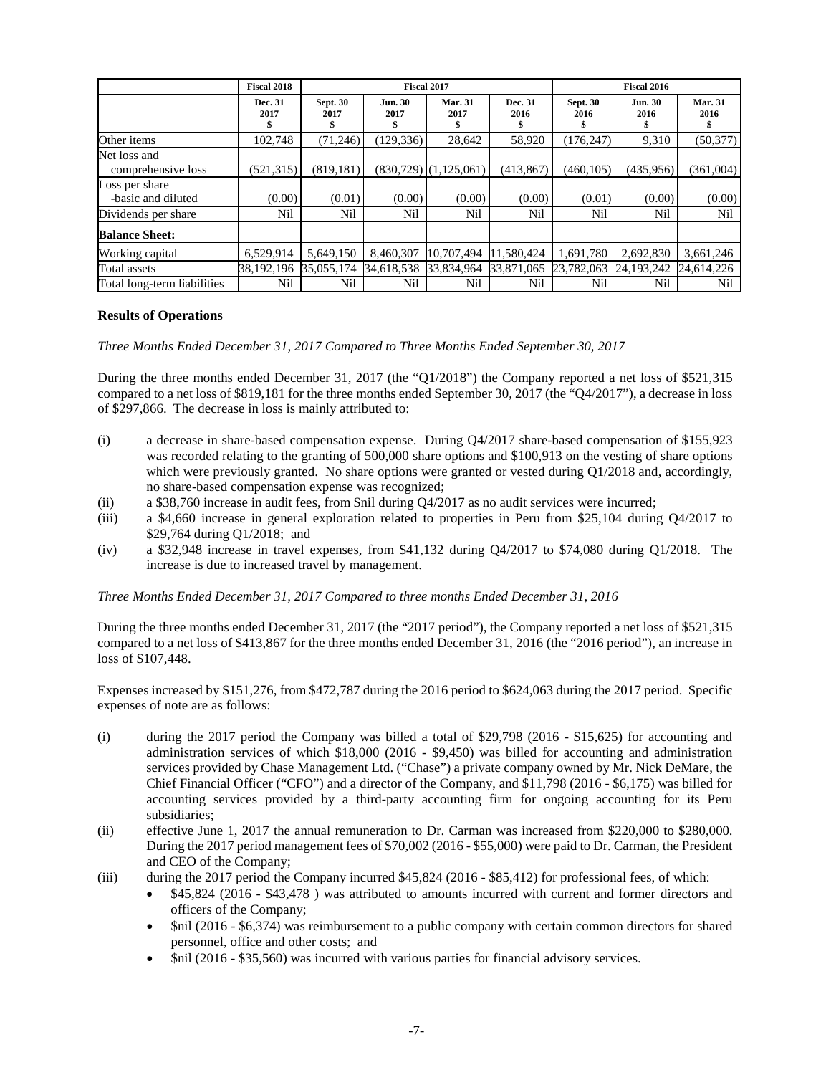|                                      | <b>Fiscal 2018</b> | Fiscal 2017             |                        |                           | Fiscal 2016     |                         |                        |                        |
|--------------------------------------|--------------------|-------------------------|------------------------|---------------------------|-----------------|-------------------------|------------------------|------------------------|
|                                      | Dec. 31<br>2017    | <b>Sept. 30</b><br>2017 | <b>Jun. 30</b><br>2017 | <b>Mar. 31</b><br>2017    | Dec. 31<br>2016 | <b>Sept. 30</b><br>2016 | <b>Jun. 30</b><br>2016 | <b>Mar. 31</b><br>2016 |
| Other items                          | 102,748            | (71,246)                | (129, 336)             | 28,642                    | 58,920          | (176, 247)              | 9,310                  | (50, 377)              |
| Net loss and<br>comprehensive loss   | (521, 315)         | (819, 181)              |                        | $(830,729)$ $(1,125,061)$ | (413,867)       | (460, 105)              | (435, 956)             | (361,004)              |
| Loss per share<br>-basic and diluted | (0.00)             | (0.01)                  | (0.00)                 | (0.00)                    | (0.00)          | (0.01)                  | (0.00)                 | (0.00)                 |
| Dividends per share                  | Nil                | Nil                     | Nil                    | Nil                       | Nil             | Nil                     | Nil                    | Nil                    |
| <b>Balance Sheet:</b>                |                    |                         |                        |                           |                 |                         |                        |                        |
| Working capital                      | 6,529,914          | 5,649,150               | 8,460,307              | 10.707.494                | 11,580,424      | 1,691,780               | 2,692,830              | 3,661,246              |
| Total assets                         | 38.192.196         | 35,055,174              | 34,618,538             | 33,834,964                | 33,871,065      | 23.782.063              | 24,193,242             | 24.614.226             |
| Total long-term liabilities          | Nil                | Nil                     | Nil                    | Nil                       | Nil             | Nil                     | Nil                    | Nil                    |

## **Results of Operations**

*Three Months Ended December 31, 2017 Compared to Three Months Ended September 30, 2017*

During the three months ended December 31, 2017 (the "Q1/2018") the Company reported a net loss of \$521,315 compared to a net loss of \$819,181 for the three months ended September 30, 2017 (the "Q4/2017"), a decrease in loss of \$297,866. The decrease in loss is mainly attributed to:

- (i) a decrease in share-based compensation expense. During Q4/2017 share-based compensation of \$155,923 was recorded relating to the granting of 500,000 share options and \$100,913 on the vesting of share options which were previously granted. No share options were granted or vested during Q1/2018 and, accordingly, no share-based compensation expense was recognized;
- (ii) a \$38,760 increase in audit fees, from \$nil during Q4/2017 as no audit services were incurred;
- (iii) a \$4,660 increase in general exploration related to properties in Peru from \$25,104 during Q4/2017 to \$29,764 during Q1/2018; and
- (iv) a \$32,948 increase in travel expenses, from \$41,132 during Q4/2017 to \$74,080 during Q1/2018. The increase is due to increased travel by management.

*Three Months Ended December 31, 2017 Compared to three months Ended December 31, 2016*

During the three months ended December 31, 2017 (the "2017 period"), the Company reported a net loss of \$521,315 compared to a net loss of \$413,867 for the three months ended December 31, 2016 (the "2016 period"), an increase in loss of \$107,448.

Expenses increased by \$151,276, from \$472,787 during the 2016 period to \$624,063 during the 2017 period. Specific expenses of note are as follows:

- (i) during the 2017 period the Company was billed a total of \$29,798 (2016 \$15,625) for accounting and administration services of which \$18,000 (2016 - \$9,450) was billed for accounting and administration services provided by Chase Management Ltd. ("Chase") a private company owned by Mr. Nick DeMare, the Chief Financial Officer ("CFO") and a director of the Company, and \$11,798 (2016 - \$6,175) was billed for accounting services provided by a third-party accounting firm for ongoing accounting for its Peru subsidiaries;
- (ii) effective June 1, 2017 the annual remuneration to Dr. Carman was increased from \$220,000 to \$280,000. During the 2017 period management fees of \$70,002 (2016 - \$55,000) were paid to Dr. Carman, the President and CEO of the Company;
- (iii) during the 2017 period the Company incurred \$45,824 (2016 \$85,412) for professional fees, of which:
	- \$45,824 (2016 \$43,478 ) was attributed to amounts incurred with current and former directors and officers of the Company;
	- \$nil (2016 \$6,374) was reimbursement to a public company with certain common directors for shared personnel, office and other costs; and
	- \$nil (2016 \$35,560) was incurred with various parties for financial advisory services.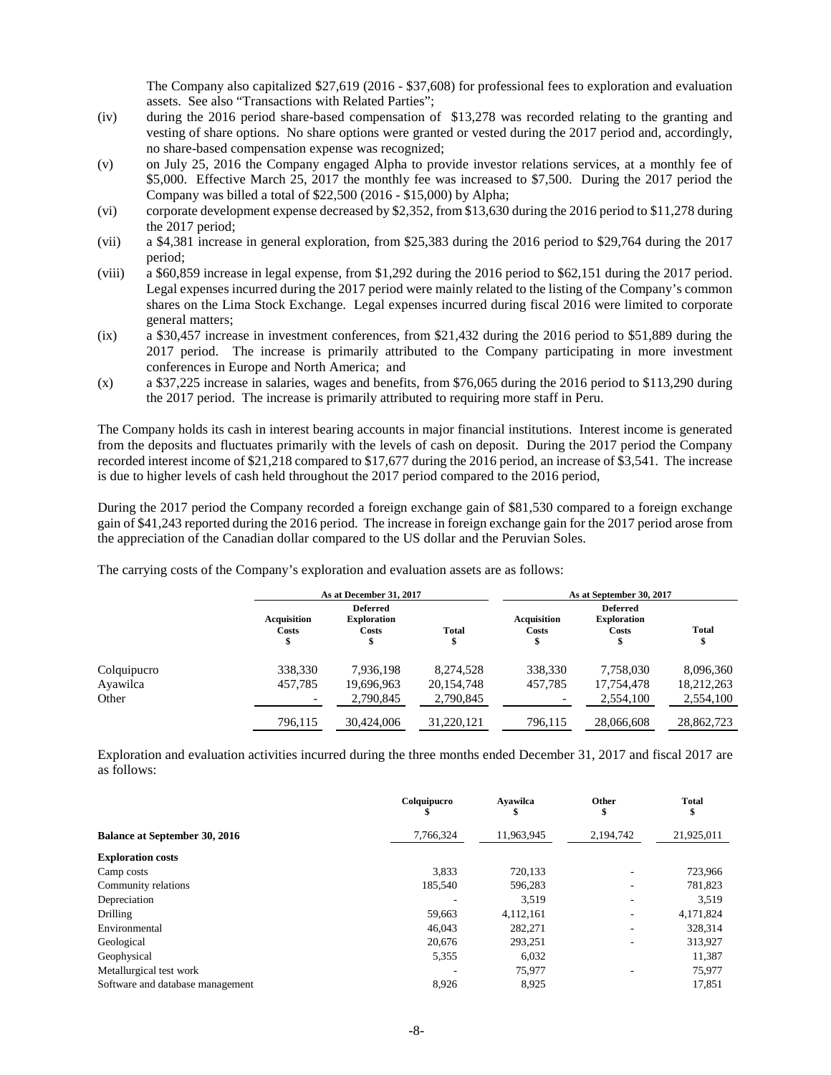The Company also capitalized \$27,619 (2016 - \$37,608) for professional fees to exploration and evaluation assets. See also "Transactions with Related Parties";

- (iv) during the 2016 period share-based compensation of \$13,278 was recorded relating to the granting and vesting of share options. No share options were granted or vested during the 2017 period and, accordingly, no share-based compensation expense was recognized;
- (v) on July 25, 2016 the Company engaged Alpha to provide investor relations services, at a monthly fee of \$5,000. Effective March 25, 2017 the monthly fee was increased to \$7,500. During the 2017 period the Company was billed a total of \$22,500 (2016 - \$15,000) by Alpha;
- (vi) corporate development expense decreased by \$2,352, from \$13,630 during the 2016 period to \$11,278 during the 2017 period;
- (vii) a \$4,381 increase in general exploration, from \$25,383 during the 2016 period to \$29,764 during the 2017 period;
- (viii) a \$60,859 increase in legal expense, from \$1,292 during the 2016 period to \$62,151 during the 2017 period. Legal expenses incurred during the 2017 period were mainly related to the listing of the Company's common shares on the Lima Stock Exchange. Legal expenses incurred during fiscal 2016 were limited to corporate general matters;
- (ix) a \$30,457 increase in investment conferences, from \$21,432 during the 2016 period to \$51,889 during the 2017 period. The increase is primarily attributed to the Company participating in more investment conferences in Europe and North America; and
- (x) a \$37,225 increase in salaries, wages and benefits, from \$76,065 during the 2016 period to \$113,290 during the 2017 period. The increase is primarily attributed to requiring more staff in Peru.

The Company holds its cash in interest bearing accounts in major financial institutions. Interest income is generated from the deposits and fluctuates primarily with the levels of cash on deposit. During the 2017 period the Company recorded interest income of \$21,218 compared to \$17,677 during the 2016 period, an increase of \$3,541. The increase is due to higher levels of cash held throughout the 2017 period compared to the 2016 period,

During the 2017 period the Company recorded a foreign exchange gain of \$81,530 compared to a foreign exchange gain of \$41,243 reported during the 2016 period. The increase in foreign exchange gain for the 2017 period arose from the appreciation of the Canadian dollar compared to the US dollar and the Peruvian Soles.

The carrying costs of the Company's exploration and evaluation assets are as follows:

|             |                                   | As at December 31, 2017                              |              | As at September 30, 2017    |                                                      |                    |  |
|-------------|-----------------------------------|------------------------------------------------------|--------------|-----------------------------|------------------------------------------------------|--------------------|--|
|             | <b>Acquisition</b><br>Costs<br>\$ | <b>Deferred</b><br><b>Exploration</b><br>Costs<br>\$ | Total        | <b>Acquisition</b><br>Costs | <b>Deferred</b><br><b>Exploration</b><br>Costs<br>\$ | <b>Total</b><br>\$ |  |
| Colquipucro | 338,330                           | 7,936,198                                            | 8.274.528    | 338,330                     | 7,758,030                                            | 8,096,360          |  |
| Ayawilca    | 457.785                           | 19,696,963                                           | 20, 154, 748 | 457.785                     | 17,754,478                                           | 18,212,263         |  |
| Other       |                                   | 2,790,845                                            | 2,790,845    | $\overline{\phantom{a}}$    | 2.554.100                                            | 2,554,100          |  |
|             | 796,115                           | 30,424,006                                           | 31.220.121   | 796,115                     | 28,066,608                                           | 28,862,723         |  |

Exploration and evaluation activities incurred during the three months ended December 31, 2017 and fiscal 2017 are as follows:

|                                      | Colquipucro | Avawilca<br>ъ | Other<br>\$              | <b>Total</b><br>ъ |
|--------------------------------------|-------------|---------------|--------------------------|-------------------|
| <b>Balance at September 30, 2016</b> | 7,766,324   | 11,963,945    | 2,194,742                | 21,925,011        |
| <b>Exploration costs</b>             |             |               |                          |                   |
| Camp costs                           | 3,833       | 720,133       | $\overline{\phantom{a}}$ | 723,966           |
| Community relations                  | 185,540     | 596,283       | $\overline{\phantom{a}}$ | 781,823           |
| Depreciation                         | ٠           | 3.519         | $\overline{\phantom{a}}$ | 3,519             |
| Drilling                             | 59,663      | 4,112,161     | $\overline{\phantom{a}}$ | 4,171,824         |
| Environmental                        | 46,043      | 282,271       | $\overline{\phantom{a}}$ | 328,314           |
| Geological                           | 20.676      | 293.251       | $\overline{\phantom{a}}$ | 313,927           |
| Geophysical                          | 5,355       | 6,032         |                          | 11,387            |
| Metallurgical test work              | ۰           | 75,977        | $\overline{\phantom{a}}$ | 75,977            |
| Software and database management     | 8,926       | 8,925         |                          | 17,851            |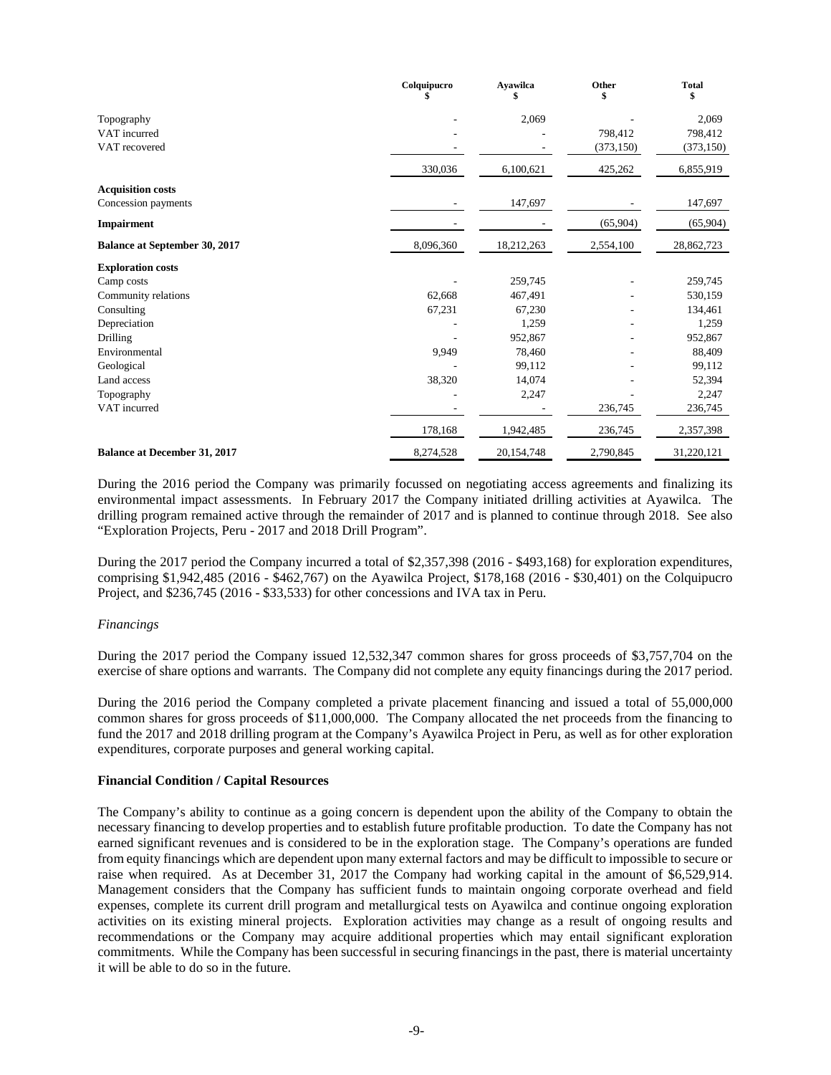|                                      | Colquipucro | Ayawilca   | Other      | <b>Total</b><br>\$ |
|--------------------------------------|-------------|------------|------------|--------------------|
| Topography                           |             | 2,069      |            | 2,069              |
| VAT incurred                         |             |            | 798,412    | 798,412            |
| VAT recovered                        |             |            | (373, 150) | (373, 150)         |
|                                      | 330,036     | 6,100,621  | 425,262    | 6,855,919          |
| <b>Acquisition costs</b>             |             |            |            |                    |
| Concession payments                  |             | 147,697    |            | 147,697            |
| <b>Impairment</b>                    |             |            | (65,904)   | (65,904)           |
| <b>Balance at September 30, 2017</b> | 8,096,360   | 18,212,263 | 2,554,100  | 28,862,723         |
| <b>Exploration costs</b>             |             |            |            |                    |
| Camp costs                           |             | 259,745    |            | 259,745            |
| Community relations                  | 62,668      | 467,491    |            | 530,159            |
| Consulting                           | 67,231      | 67,230     |            | 134,461            |
| Depreciation                         |             | 1,259      |            | 1,259              |
| Drilling                             |             | 952,867    |            | 952,867            |
| Environmental                        | 9,949       | 78,460     |            | 88,409             |
| Geological                           |             | 99,112     |            | 99,112             |
| Land access                          | 38,320      | 14,074     |            | 52,394             |
| Topography                           |             | 2,247      |            | 2,247              |
| VAT incurred                         |             |            | 236,745    | 236,745            |
|                                      | 178,168     | 1,942,485  | 236,745    | 2,357,398          |
| <b>Balance at December 31, 2017</b>  | 8,274,528   | 20,154,748 | 2,790,845  | 31,220,121         |

During the 2016 period the Company was primarily focussed on negotiating access agreements and finalizing its environmental impact assessments. In February 2017 the Company initiated drilling activities at Ayawilca. The drilling program remained active through the remainder of 2017 and is planned to continue through 2018. See also "Exploration Projects, Peru - 2017 and 2018 Drill Program".

During the 2017 period the Company incurred a total of \$2,357,398 (2016 - \$493,168) for exploration expenditures, comprising \$1,942,485 (2016 - \$462,767) on the Ayawilca Project, \$178,168 (2016 - \$30,401) on the Colquipucro Project, and \$236,745 (2016 - \$33,533) for other concessions and IVA tax in Peru.

#### *Financings*

During the 2017 period the Company issued 12,532,347 common shares for gross proceeds of \$3,757,704 on the exercise of share options and warrants. The Company did not complete any equity financings during the 2017 period.

During the 2016 period the Company completed a private placement financing and issued a total of 55,000,000 common shares for gross proceeds of \$11,000,000. The Company allocated the net proceeds from the financing to fund the 2017 and 2018 drilling program at the Company's Ayawilca Project in Peru, as well as for other exploration expenditures, corporate purposes and general working capital.

#### **Financial Condition / Capital Resources**

The Company's ability to continue as a going concern is dependent upon the ability of the Company to obtain the necessary financing to develop properties and to establish future profitable production. To date the Company has not earned significant revenues and is considered to be in the exploration stage. The Company's operations are funded from equity financings which are dependent upon many external factors and may be difficult to impossible to secure or raise when required. As at December 31, 2017 the Company had working capital in the amount of \$6,529,914. Management considers that the Company has sufficient funds to maintain ongoing corporate overhead and field expenses, complete its current drill program and metallurgical tests on Ayawilca and continue ongoing exploration activities on its existing mineral projects. Exploration activities may change as a result of ongoing results and recommendations or the Company may acquire additional properties which may entail significant exploration commitments. While the Company has been successful in securing financings in the past, there is material uncertainty it will be able to do so in the future.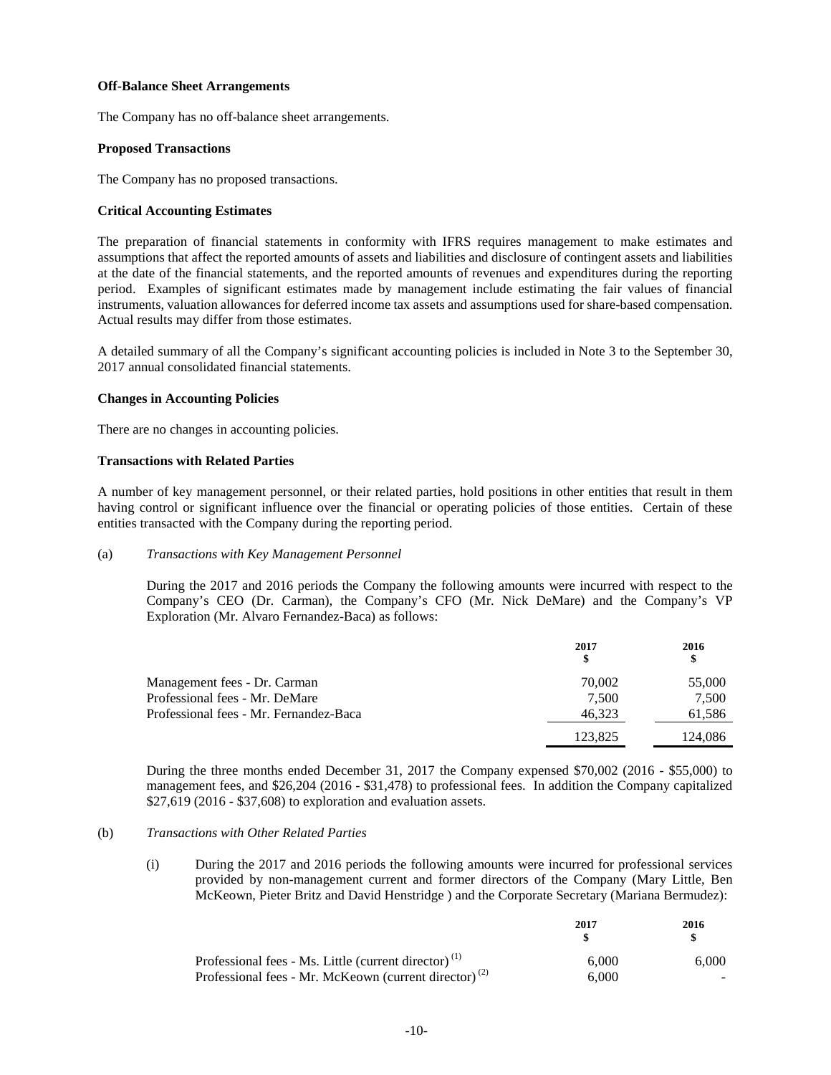#### **Off-Balance Sheet Arrangements**

The Company has no off-balance sheet arrangements.

#### **Proposed Transactions**

The Company has no proposed transactions.

#### **Critical Accounting Estimates**

The preparation of financial statements in conformity with IFRS requires management to make estimates and assumptions that affect the reported amounts of assets and liabilities and disclosure of contingent assets and liabilities at the date of the financial statements, and the reported amounts of revenues and expenditures during the reporting period. Examples of significant estimates made by management include estimating the fair values of financial instruments, valuation allowances for deferred income tax assets and assumptions used for share-based compensation. Actual results may differ from those estimates.

A detailed summary of all the Company's significant accounting policies is included in Note 3 to the September 30, 2017 annual consolidated financial statements.

## **Changes in Accounting Policies**

There are no changes in accounting policies.

#### **Transactions with Related Parties**

A number of key management personnel, or their related parties, hold positions in other entities that result in them having control or significant influence over the financial or operating policies of those entities. Certain of these entities transacted with the Company during the reporting period.

#### (a) *Transactions with Key Management Personnel*

During the 2017 and 2016 periods the Company the following amounts were incurred with respect to the Company's CEO (Dr. Carman), the Company's CFO (Mr. Nick DeMare) and the Company's VP Exploration (Mr. Alvaro Fernandez-Baca) as follows:

|                                        | 2017<br>S | 2016<br>\$ |
|----------------------------------------|-----------|------------|
| Management fees - Dr. Carman           | 70,002    | 55,000     |
| Professional fees - Mr. DeMare         | 7.500     | 7.500      |
| Professional fees - Mr. Fernandez-Baca | 46.323    | 61,586     |
|                                        | 123,825   | 124.086    |

During the three months ended December 31, 2017 the Company expensed \$70,002 (2016 - \$55,000) to management fees, and \$26,204 (2016 - \$31,478) to professional fees. In addition the Company capitalized \$27,619 (2016 - \$37,608) to exploration and evaluation assets.

#### (b) *Transactions with Other Related Parties*

(i) During the 2017 and 2016 periods the following amounts were incurred for professional services provided by non-management current and former directors of the Company (Mary Little, Ben McKeown, Pieter Britz and David Henstridge ) and the Corporate Secretary (Mariana Bermudez):

|                                                                   | 2017  | 2016  |
|-------------------------------------------------------------------|-------|-------|
|                                                                   |       |       |
| Professional fees - Ms. Little (current director) <sup>(1)</sup>  | 6.000 | 6.000 |
| Professional fees - Mr. McKeown (current director) <sup>(2)</sup> | 6.000 |       |